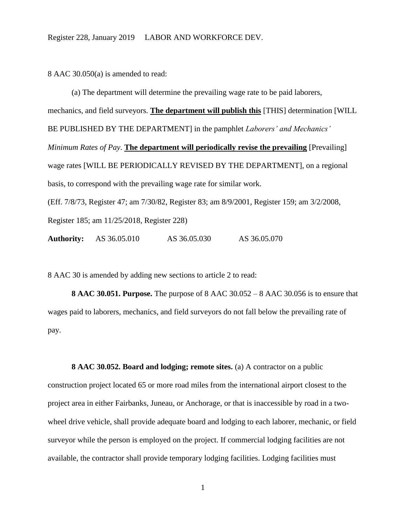8 AAC 30.050(a) is amended to read:

(a) The department will determine the prevailing wage rate to be paid laborers, mechanics, and field surveyors. **The department will publish this** [THIS] determination [WILL BE PUBLISHED BY THE DEPARTMENT] in the pamphlet *Laborers' and Mechanics' Minimum Rates of Pay*. **The department will periodically revise the prevailing** [Prevailing] wage rates [WILL BE PERIODICALLY REVISED BY THE DEPARTMENT], on a regional basis, to correspond with the prevailing wage rate for similar work. (Eff. 7/8/73, Register 47; am 7/30/82, Register 83; am 8/9/2001, Register 159; am 3/2/2008, Register 185; am 11/25/2018, Register 228)

**Authority:** AS 36.05.010 AS 36.05.030 AS 36.05.070

8 AAC 30 is amended by adding new sections to article 2 to read:

**8 AAC 30.051. Purpose.** The purpose of 8 AAC 30.052 – 8 AAC 30.056 is to ensure that wages paid to laborers, mechanics, and field surveyors do not fall below the prevailing rate of pay.

**8 AAC 30.052. Board and lodging; remote sites.** (a) A contractor on a public construction project located 65 or more road miles from the international airport closest to the project area in either Fairbanks, Juneau, or Anchorage, or that is inaccessible by road in a twowheel drive vehicle, shall provide adequate board and lodging to each laborer, mechanic, or field surveyor while the person is employed on the project. If commercial lodging facilities are not available, the contractor shall provide temporary lodging facilities. Lodging facilities must

1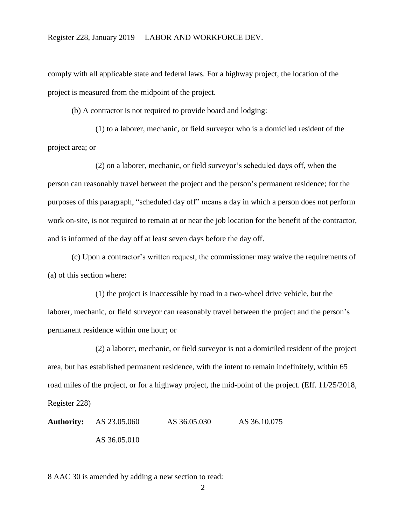comply with all applicable state and federal laws. For a highway project, the location of the project is measured from the midpoint of the project.

(b) A contractor is not required to provide board and lodging:

(1) to a laborer, mechanic, or field surveyor who is a domiciled resident of the project area; or

(2) on a laborer, mechanic, or field surveyor's scheduled days off, when the person can reasonably travel between the project and the person's permanent residence; for the purposes of this paragraph, "scheduled day off" means a day in which a person does not perform work on-site, is not required to remain at or near the job location for the benefit of the contractor, and is informed of the day off at least seven days before the day off.

(c) Upon a contractor's written request, the commissioner may waive the requirements of (a) of this section where:

(1) the project is inaccessible by road in a two-wheel drive vehicle, but the laborer, mechanic, or field surveyor can reasonably travel between the project and the person's permanent residence within one hour; or

(2) a laborer, mechanic, or field surveyor is not a domiciled resident of the project area, but has established permanent residence, with the intent to remain indefinitely, within 65 road miles of the project, or for a highway project, the mid-point of the project. (Eff. 11/25/2018,

Register 228)

**Authority:** AS 23.05.060 AS 36.05.030 AS 36.10.075 AS 36.05.010

8 AAC 30 is amended by adding a new section to read: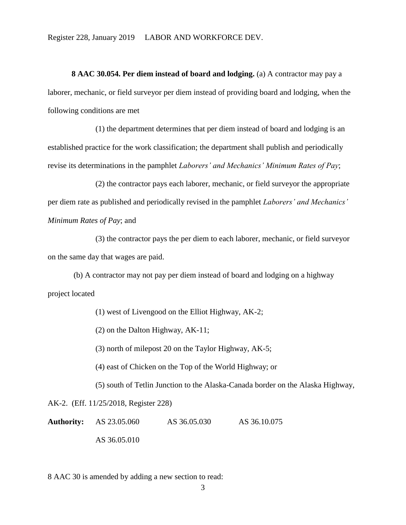Register 228, January 2019 LABOR AND WORKFORCE DEV.

**8 AAC 30.054. Per diem instead of board and lodging.** (a) A contractor may pay a laborer, mechanic, or field surveyor per diem instead of providing board and lodging, when the following conditions are met

(1) the department determines that per diem instead of board and lodging is an established practice for the work classification; the department shall publish and periodically revise its determinations in the pamphlet *Laborers' and Mechanics' Minimum Rates of Pay*;

(2) the contractor pays each laborer, mechanic, or field surveyor the appropriate per diem rate as published and periodically revised in the pamphlet *Laborers' and Mechanics' Minimum Rates of Pay*; and

(3) the contractor pays the per diem to each laborer, mechanic, or field surveyor on the same day that wages are paid.

(b) A contractor may not pay per diem instead of board and lodging on a highway project located

(1) west of Livengood on the Elliot Highway, AK-2;

(2) on the Dalton Highway, AK-11;

(3) north of milepost 20 on the Taylor Highway, AK-5;

(4) east of Chicken on the Top of the World Highway; or

(5) south of Tetlin Junction to the Alaska-Canada border on the Alaska Highway,

AK-2. (Eff. 11/25/2018, Register 228)

**Authority:** AS 23.05.060 AS 36.05.030 AS 36.10.075 AS 36.05.010

8 AAC 30 is amended by adding a new section to read: